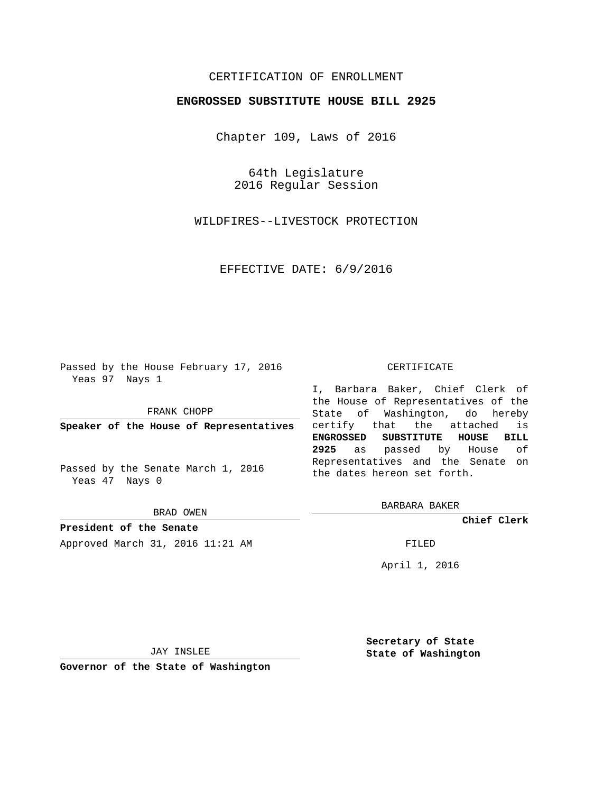## CERTIFICATION OF ENROLLMENT

## **ENGROSSED SUBSTITUTE HOUSE BILL 2925**

Chapter 109, Laws of 2016

64th Legislature 2016 Regular Session

WILDFIRES--LIVESTOCK PROTECTION

EFFECTIVE DATE: 6/9/2016

Passed by the House February 17, 2016 Yeas 97 Nays 1

FRANK CHOPP

**Speaker of the House of Representatives**

Passed by the Senate March 1, 2016 Yeas 47 Nays 0

BRAD OWEN

**President of the Senate** Approved March 31, 2016 11:21 AM FILED

## CERTIFICATE

I, Barbara Baker, Chief Clerk of the House of Representatives of the State of Washington, do hereby certify that the attached is **ENGROSSED SUBSTITUTE HOUSE BILL 2925** as passed by House of Representatives and the Senate on the dates hereon set forth.

BARBARA BAKER

**Chief Clerk**

April 1, 2016

JAY INSLEE

**Governor of the State of Washington**

**Secretary of State State of Washington**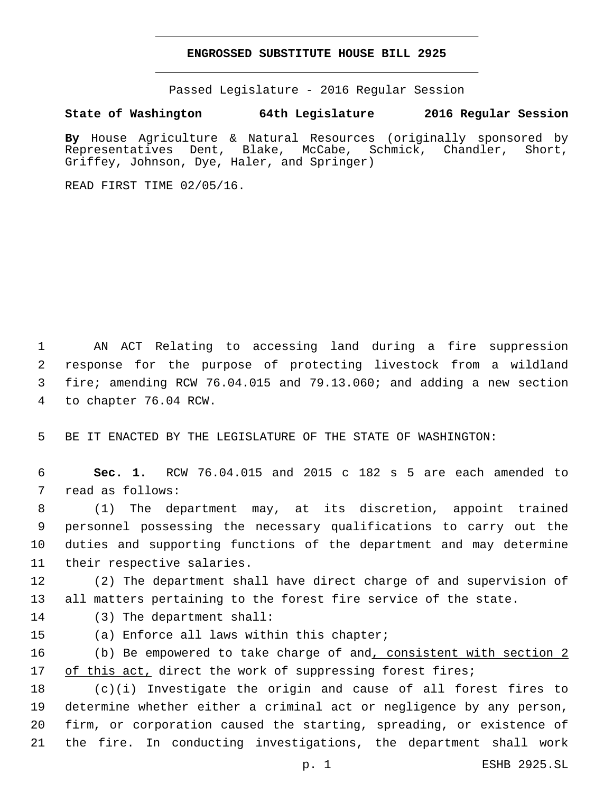## **ENGROSSED SUBSTITUTE HOUSE BILL 2925**

Passed Legislature - 2016 Regular Session

**State of Washington 64th Legislature 2016 Regular Session**

**By** House Agriculture & Natural Resources (originally sponsored by Representatives Dent, Blake, McCabe, Schmick, Chandler, Short, Griffey, Johnson, Dye, Haler, and Springer)

READ FIRST TIME 02/05/16.

 AN ACT Relating to accessing land during a fire suppression response for the purpose of protecting livestock from a wildland fire; amending RCW 76.04.015 and 79.13.060; and adding a new section 4 to chapter 76.04 RCW.

5 BE IT ENACTED BY THE LEGISLATURE OF THE STATE OF WASHINGTON:

6 **Sec. 1.** RCW 76.04.015 and 2015 c 182 s 5 are each amended to 7 read as follows:

 (1) The department may, at its discretion, appoint trained personnel possessing the necessary qualifications to carry out the duties and supporting functions of the department and may determine 11 their respective salaries.

12 (2) The department shall have direct charge of and supervision of 13 all matters pertaining to the forest fire service of the state.

14 (3) The department shall:

15 (a) Enforce all laws within this chapter;

16 (b) Be empowered to take charge of and, consistent with section 2 17 of this act, direct the work of suppressing forest fires;

 (c)(i) Investigate the origin and cause of all forest fires to determine whether either a criminal act or negligence by any person, firm, or corporation caused the starting, spreading, or existence of the fire. In conducting investigations, the department shall work

p. 1 ESHB 2925.SL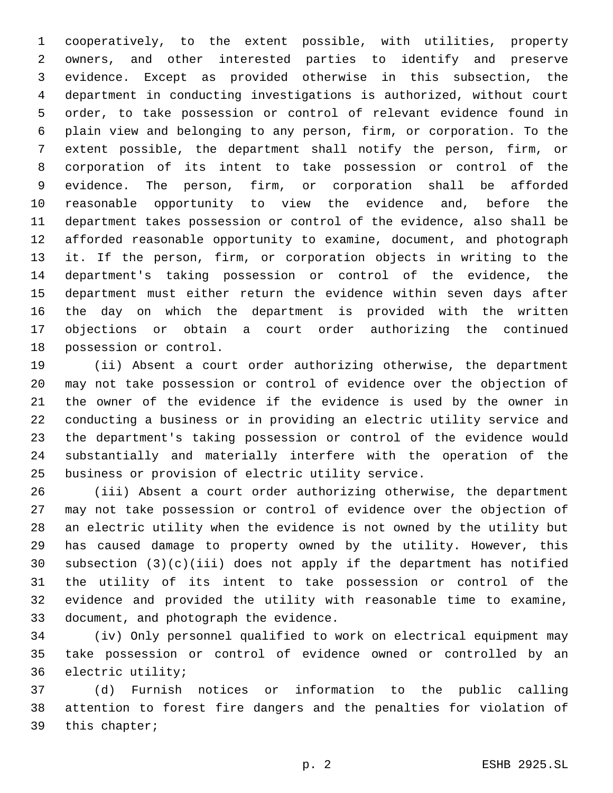cooperatively, to the extent possible, with utilities, property owners, and other interested parties to identify and preserve evidence. Except as provided otherwise in this subsection, the department in conducting investigations is authorized, without court order, to take possession or control of relevant evidence found in plain view and belonging to any person, firm, or corporation. To the extent possible, the department shall notify the person, firm, or corporation of its intent to take possession or control of the evidence. The person, firm, or corporation shall be afforded reasonable opportunity to view the evidence and, before the department takes possession or control of the evidence, also shall be afforded reasonable opportunity to examine, document, and photograph it. If the person, firm, or corporation objects in writing to the department's taking possession or control of the evidence, the department must either return the evidence within seven days after the day on which the department is provided with the written objections or obtain a court order authorizing the continued 18 possession or control.

 (ii) Absent a court order authorizing otherwise, the department may not take possession or control of evidence over the objection of the owner of the evidence if the evidence is used by the owner in conducting a business or in providing an electric utility service and the department's taking possession or control of the evidence would substantially and materially interfere with the operation of the business or provision of electric utility service.

 (iii) Absent a court order authorizing otherwise, the department may not take possession or control of evidence over the objection of an electric utility when the evidence is not owned by the utility but has caused damage to property owned by the utility. However, this subsection (3)(c)(iii) does not apply if the department has notified the utility of its intent to take possession or control of the evidence and provided the utility with reasonable time to examine, 33 document, and photograph the evidence.

 (iv) Only personnel qualified to work on electrical equipment may take possession or control of evidence owned or controlled by an 36 electric utility;

 (d) Furnish notices or information to the public calling attention to forest fire dangers and the penalties for violation of 39 this chapter;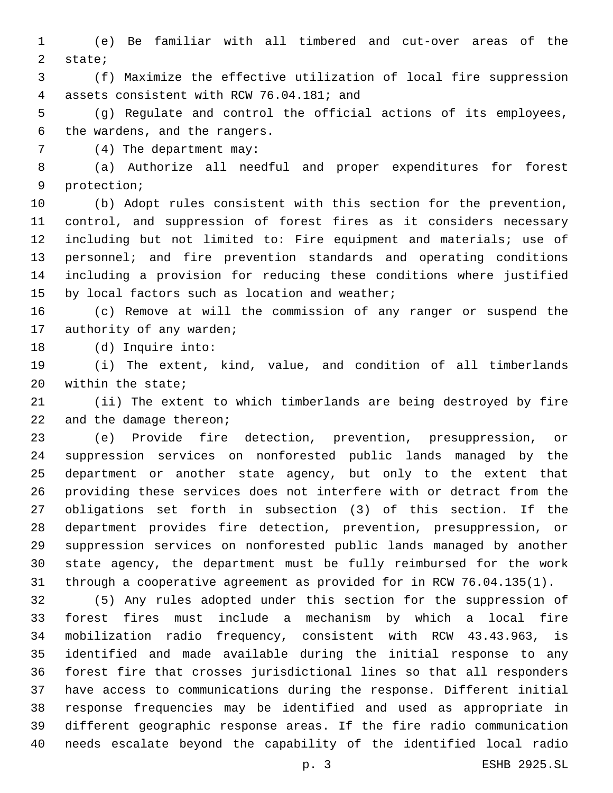(e) Be familiar with all timbered and cut-over areas of the 2 state;

 (f) Maximize the effective utilization of local fire suppression 4 assets consistent with RCW 76.04.181; and

 (g) Regulate and control the official actions of its employees, 6 the wardens, and the rangers.

7 (4) The department may:

 (a) Authorize all needful and proper expenditures for forest 9 protection;

 (b) Adopt rules consistent with this section for the prevention, control, and suppression of forest fires as it considers necessary including but not limited to: Fire equipment and materials; use of personnel; and fire prevention standards and operating conditions including a provision for reducing these conditions where justified 15 by local factors such as location and weather;

 (c) Remove at will the commission of any ranger or suspend the 17 authority of any warden;

18 (d) Inquire into:

 (i) The extent, kind, value, and condition of all timberlands 20 within the state;

 (ii) The extent to which timberlands are being destroyed by fire 22 and the damage thereon;

 (e) Provide fire detection, prevention, presuppression, or suppression services on nonforested public lands managed by the department or another state agency, but only to the extent that providing these services does not interfere with or detract from the obligations set forth in subsection (3) of this section. If the department provides fire detection, prevention, presuppression, or suppression services on nonforested public lands managed by another state agency, the department must be fully reimbursed for the work through a cooperative agreement as provided for in RCW 76.04.135(1).

 (5) Any rules adopted under this section for the suppression of forest fires must include a mechanism by which a local fire mobilization radio frequency, consistent with RCW 43.43.963, is identified and made available during the initial response to any forest fire that crosses jurisdictional lines so that all responders have access to communications during the response. Different initial response frequencies may be identified and used as appropriate in different geographic response areas. If the fire radio communication needs escalate beyond the capability of the identified local radio

p. 3 ESHB 2925.SL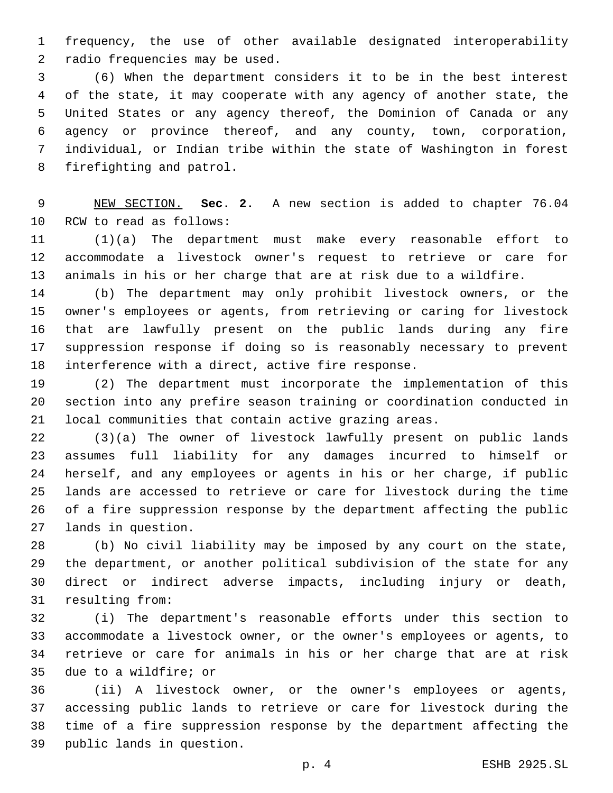frequency, the use of other available designated interoperability 2 radio frequencies may be used.

 (6) When the department considers it to be in the best interest of the state, it may cooperate with any agency of another state, the United States or any agency thereof, the Dominion of Canada or any agency or province thereof, and any county, town, corporation, individual, or Indian tribe within the state of Washington in forest 8 firefighting and patrol.

 NEW SECTION. **Sec. 2.** A new section is added to chapter 76.04 10 RCW to read as follows:

 (1)(a) The department must make every reasonable effort to accommodate a livestock owner's request to retrieve or care for animals in his or her charge that are at risk due to a wildfire.

 (b) The department may only prohibit livestock owners, or the owner's employees or agents, from retrieving or caring for livestock that are lawfully present on the public lands during any fire suppression response if doing so is reasonably necessary to prevent 18 interference with a direct, active fire response.

 (2) The department must incorporate the implementation of this section into any prefire season training or coordination conducted in local communities that contain active grazing areas.

 (3)(a) The owner of livestock lawfully present on public lands assumes full liability for any damages incurred to himself or herself, and any employees or agents in his or her charge, if public lands are accessed to retrieve or care for livestock during the time of a fire suppression response by the department affecting the public 27 lands in question.

 (b) No civil liability may be imposed by any court on the state, the department, or another political subdivision of the state for any direct or indirect adverse impacts, including injury or death, 31 resulting from:

 (i) The department's reasonable efforts under this section to accommodate a livestock owner, or the owner's employees or agents, to retrieve or care for animals in his or her charge that are at risk 35 due to a wildfire; or

 (ii) A livestock owner, or the owner's employees or agents, accessing public lands to retrieve or care for livestock during the time of a fire suppression response by the department affecting the 39 public lands in question.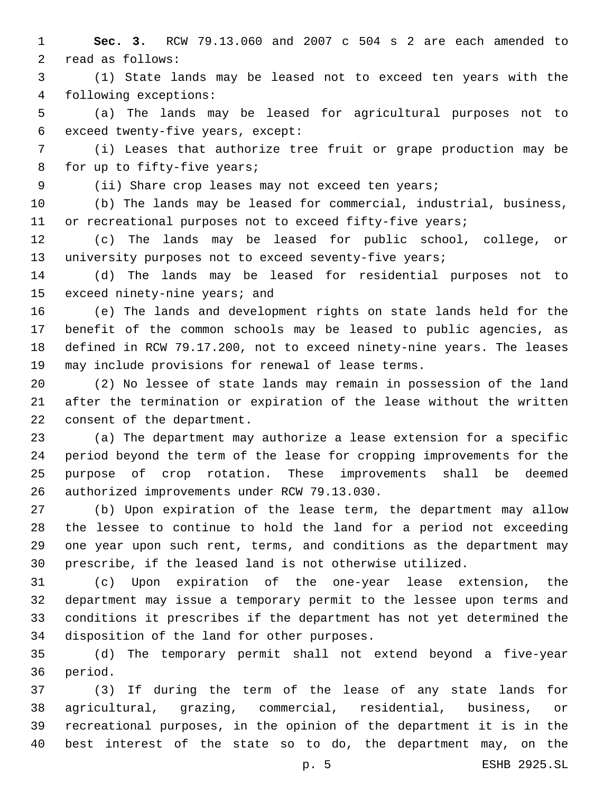**Sec. 3.** RCW 79.13.060 and 2007 c 504 s 2 are each amended to 2 read as follows:

 (1) State lands may be leased not to exceed ten years with the following exceptions:4

 (a) The lands may be leased for agricultural purposes not to 6 exceed twenty-five years, except:

 (i) Leases that authorize tree fruit or grape production may be 8 for up to fifty-five years;

(ii) Share crop leases may not exceed ten years;

 (b) The lands may be leased for commercial, industrial, business, 11 or recreational purposes not to exceed fifty-five years;

 (c) The lands may be leased for public school, college, or 13 university purposes not to exceed seventy-five years;

 (d) The lands may be leased for residential purposes not to 15 exceed ninety-nine years; and

 (e) The lands and development rights on state lands held for the benefit of the common schools may be leased to public agencies, as defined in RCW 79.17.200, not to exceed ninety-nine years. The leases may include provisions for renewal of lease terms.

 (2) No lessee of state lands may remain in possession of the land after the termination or expiration of the lease without the written 22 consent of the department.

 (a) The department may authorize a lease extension for a specific period beyond the term of the lease for cropping improvements for the purpose of crop rotation. These improvements shall be deemed 26 authorized improvements under RCW 79.13.030.

 (b) Upon expiration of the lease term, the department may allow the lessee to continue to hold the land for a period not exceeding one year upon such rent, terms, and conditions as the department may prescribe, if the leased land is not otherwise utilized.

 (c) Upon expiration of the one-year lease extension, the department may issue a temporary permit to the lessee upon terms and conditions it prescribes if the department has not yet determined the 34 disposition of the land for other purposes.

 (d) The temporary permit shall not extend beyond a five-year 36 period.

 (3) If during the term of the lease of any state lands for agricultural, grazing, commercial, residential, business, or recreational purposes, in the opinion of the department it is in the best interest of the state so to do, the department may, on the